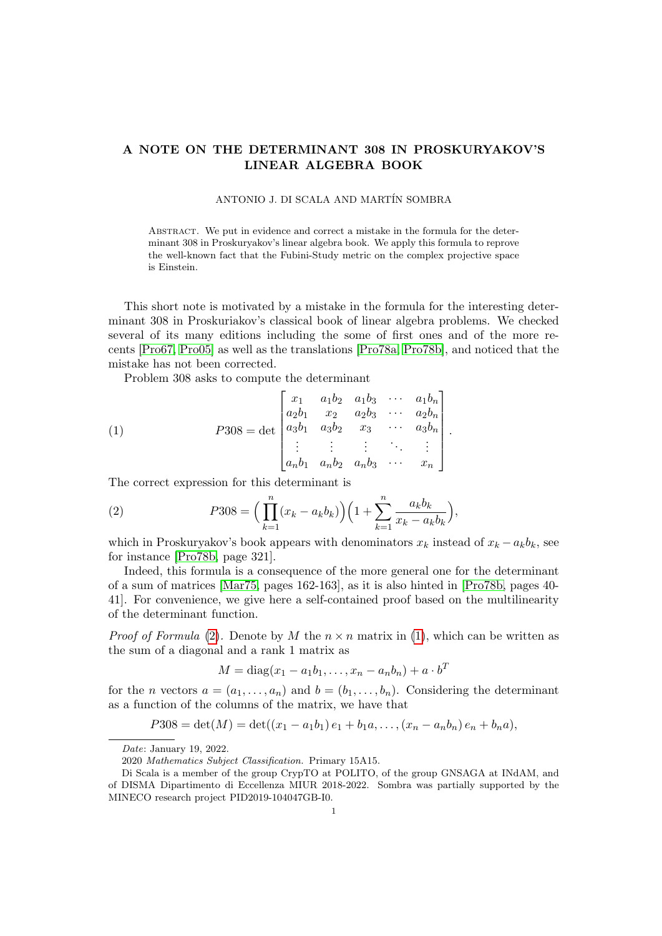## A NOTE ON THE DETERMINANT 308 IN PROSKURYAKOV'S LINEAR ALGEBRA BOOK

## ANTONIO J. DI SCALA AND MARTÍN SOMBRA

Abstract. We put in evidence and correct a mistake in the formula for the determinant 308 in Proskuryakov's linear algebra book. We apply this formula to reprove the well-known fact that the Fubini-Study metric on the complex projective space is Einstein.

This short note is motivated by a mistake in the formula for the interesting determinant 308 in Proskuriakov's classical book of linear algebra problems. We checked several of its many editions including the some of first ones and of the more recents [\[Pro67,](#page-2-0) [Pro05\]](#page-2-1) as well as the translations [\[Pro78a,](#page-2-2) [Pro78b\]](#page-2-3), and noticed that the mistake has not been corrected.

<span id="page-0-1"></span>Problem 308 asks to compute the determinant

(1) 
$$
P308 = \det \begin{bmatrix} x_1 & a_1b_2 & a_1b_3 & \cdots & a_1b_n \\ a_2b_1 & x_2 & a_2b_3 & \cdots & a_2b_n \\ a_3b_1 & a_3b_2 & x_3 & \cdots & a_3b_n \\ \vdots & \vdots & \vdots & \ddots & \vdots \\ a_nb_1 & a_nb_2 & a_nb_3 & \cdots & x_n \end{bmatrix}.
$$

The correct expression for this determinant is

<span id="page-0-0"></span>(2) 
$$
P308 = \left(\prod_{k=1}^{n} (x_k - a_k b_k)\right) \left(1 + \sum_{k=1}^{n} \frac{a_k b_k}{x_k - a_k b_k}\right),
$$

which in Proskuryakov's book appears with denominators  $x_k$  instead of  $x_k - a_k b_k$ , see for instance [\[Pro78b,](#page-2-3) page 321].

Indeed, this formula is a consequence of the more general one for the determinant of a sum of matrices [\[Mar75,](#page-2-4) pages 162-163], as it is also hinted in [\[Pro78b,](#page-2-3) pages 40- 41]. For convenience, we give here a self-contained proof based on the multilinearity of the determinant function.

*Proof of Formula* [\(2\)](#page-0-0). Denote by M the  $n \times n$  matrix in [\(1\)](#page-0-1), which can be written as the sum of a diagonal and a rank 1 matrix as

$$
M = diag(x_1 - a_1b_1,...,x_n - a_nb_n) + a \cdot b^T
$$

for the *n* vectors  $a = (a_1, \ldots, a_n)$  and  $b = (b_1, \ldots, b_n)$ . Considering the determinant as a function of the columns of the matrix, we have that

$$
P308 = \det(M) = \det((x_1 - a_1b_1)e_1 + b_1a, \ldots, (x_n - a_nb_n)e_n + b_na),
$$

Date: January 19, 2022.

<sup>2020</sup> Mathematics Subject Classification. Primary 15A15.

Di Scala is a member of the group CrypTO at POLITO, of the group GNSAGA at INdAM, and of DISMA Dipartimento di Eccellenza MIUR 2018-2022. Sombra was partially supported by the MINECO research project PID2019-104047GB-I0.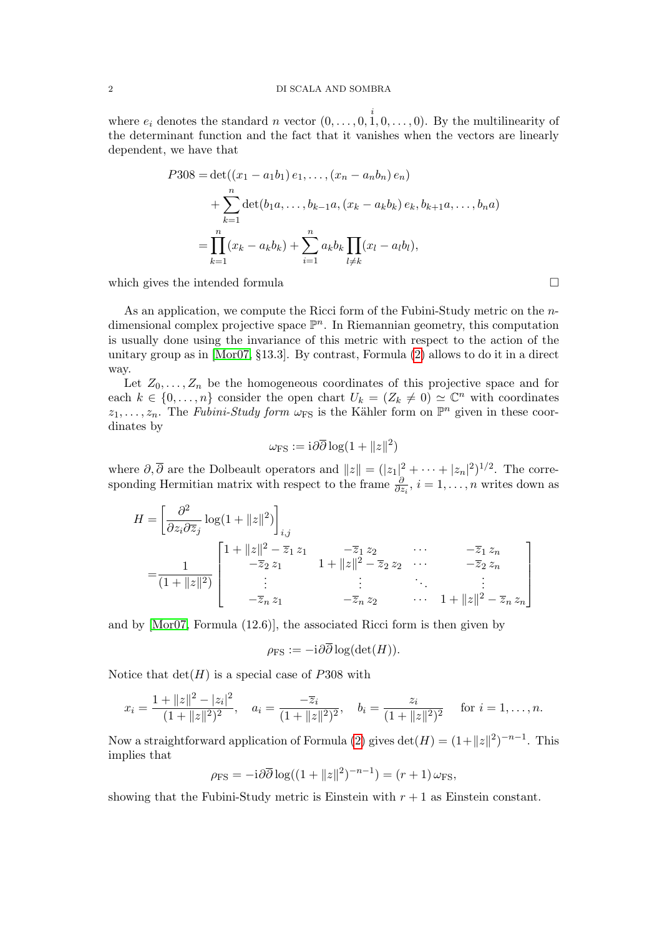where  $e_i$  denotes the standard n vector  $(0, \ldots, 0, \stackrel{i}{1}, 0, \ldots, 0)$ . By the multilinearity of the determinant function and the fact that it vanishes when the vectors are linearly dependent, we have that

$$
P308 = \det((x_1 - a_1b_1) e_1, \dots, (x_n - a_n b_n) e_n)
$$
  
+ 
$$
\sum_{k=1}^n \det(b_1 a, \dots, b_{k-1} a, (x_k - a_k b_k) e_k, b_{k+1} a, \dots, b_n a)
$$
  
= 
$$
\prod_{k=1}^n (x_k - a_k b_k) + \sum_{i=1}^n a_k b_k \prod_{l \neq k} (x_l - a_l b_l),
$$

which gives the intended formula  $\Box$ 

As an application, we compute the Ricci form of the Fubini-Study metric on the  $n$ dimensional complex projective space  $\mathbb{P}^n$ . In Riemannian geometry, this computation is usually done using the invariance of this metric with respect to the action of the unitary group as in [\[Mor07,](#page-2-5) §13.3]. By contrast, Formula [\(2\)](#page-0-0) allows to do it in a direct way.

Let  $Z_0, \ldots, Z_n$  be the homogeneous coordinates of this projective space and for each  $k \in \{0, \ldots, n\}$  consider the open chart  $U_k = (Z_k \neq 0) \simeq \mathbb{C}^n$  with coordinates  $z_1, \ldots, z_n$ . The Fubini-Study form  $\omega_{\text{FS}}$  is the Kähler form on  $\mathbb{P}^n$  given in these coordinates by

$$
\omega_{\rm FS}:=i\partial\overline{\partial}\log(1+\|z\|^2)
$$

where  $\partial, \overline{\partial}$  are the Dolbeault operators and  $||z|| = (|z_1|^2 + \cdots + |z_n|^2)^{1/2}$ . The corresponding Hermitian matrix with respect to the frame  $\frac{\partial}{\partial z_i}$ ,  $i = 1, \ldots, n$  writes down as

$$
H = \left[\frac{\partial^2}{\partial z_i \partial \overline{z}_j} \log(1 + ||z||^2)\right]_{i,j}
$$
  
= 
$$
\frac{1}{(1 + ||z||^2)} \begin{bmatrix} 1 + ||z||^2 - \overline{z}_1 z_1 & -\overline{z}_1 z_2 & \cdots & -\overline{z}_1 z_n \\ -\overline{z}_2 z_1 & 1 + ||z||^2 - \overline{z}_2 z_2 & \cdots & -\overline{z}_2 z_n \\ \vdots & \vdots & \ddots & \vdots \\ -\overline{z}_n z_1 & -\overline{z}_n z_2 & \cdots & 1 + ||z||^2 - \overline{z}_n z_n \end{bmatrix}
$$

and by [\[Mor07,](#page-2-5) Formula (12.6)], the associated Ricci form is then given by

$$
\rho_{\text{FS}}:=-i\partial\overline{\partial}\log(\det(H)).
$$

Notice that  $det(H)$  is a special case of P308 with

$$
x_i = \frac{1 + ||z||^2 - |z_i|^2}{(1 + ||z||^2)^2}, \quad a_i = \frac{-\overline{z}_i}{(1 + ||z||^2)^2}, \quad b_i = \frac{z_i}{(1 + ||z||^2)^2} \quad \text{for } i = 1, \dots, n.
$$

Now a straightforward application of Formula [\(2\)](#page-0-0) gives  $\det(H) = (1 + ||z||^2)^{-n-1}$ . This implies that

$$
\rho_{\rm FS} = -\mathrm{i}\partial\overline{\partial}\log((1+\|z\|^2)^{-n-1}) = (r+1)\,\omega_{\rm FS},
$$

showing that the Fubini-Study metric is Einstein with  $r + 1$  as Einstein constant.